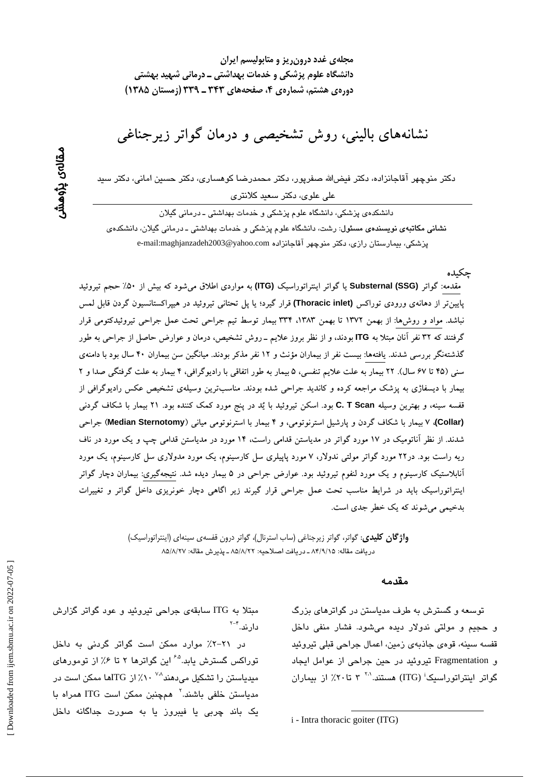نشانههای بالینی، روش تشخیصی و درمان گواتر زیرجناغی

دکتر منوچهر آقاجانزاده، دکتر فیضالله صفرپور، دکتر محمدرضا کوهساری، دکتر حسین امانی، دکتر سید علی علوی، دکتر سعید کلانتری

دانشکدهی پزشکی، دانشگاه علوم پزشکی و خدمات بهداشتی ـ درمانی گیلان نشانی مکاتبهی نویسندهی مسئول: رشت، دانشگاه علوم پزشکی و خدمات بهداشتی ـ درمانی گیلان، دانشکدهی پزشكى، بيمارستان رازى، دكتر منوچهر آقاجانزادە e-mail:maghjanzadeh2003@yahoo.com

جكىدە

مقدمه: گواتر (Substernal (SSG یا گواتر اینتراتوراسیک (ITG) به مواردی اطلاق میشود که بیش از ۵۰٪ حجم تیروئید پایین تر از دهانهی ورودی توراکس (Thoracic inlet) قرار گیرد؛ یا پل تحتانی تیروئید در هیپراکستانسیون گردن قابل لمس نباشد. مواد و روشها: از بهمن ۱۳۷۲ تا بهمن ۱۳۸۳، ۳۳۴ بیمار توسط تیم جراحی تحت عمل جراحی تیروئیدکتومی قرار گرفتند که ۳۲ نفر آنان مبتلا به ITG بودند، و از نظر بروز علایم ـ روش تشخیص، درمان و عوارض حاصل از جراحی به طور گذشتهنگر بررسی شدند. یافتهها: بیست نفر از بیماران مؤنث و ۱۲ نفر مذکر بودند. میانگین سن بیماران ۴۰ سال بود با دامنهی سنی (۴۵ تا ۶۷ سال). ۲۲ بیمار به علت علایم تنفسی، ۵ بیمار به طور اتفاقی با رادیوگرافی، ۴ بیمار به علت گرفتگی صدا و ۲ بیمار با دیسفاژی به پزشک مراجعه کرده و کاندید جراحی شده بودند. مناسبترین وسیلهی تشخیص عکس رادیوگرافی از قفسه سینه، و بهترین وسیله C. T Scan بود. اسکن تیروئید با یُد در پنج مورد کمک کننده بود. ۲۱ بیمار با شکاف گردنبی (Collar)، ۷ بیمار با شکاف گردن و پارشیل استرنوتومی، و ۴ بیمار با استرنوتومی میانی (Median Sternotomy) جراحی شدند. از نظر آناتومیک در ۱۷ مورد گواتر در مدیاستن قدامی راست، ۱۴ مورد در مدیاستن قدامی چپ و یک مورد در ناف ریه راست بود. در۲۲ مورد گواتر مولتی ندولار، ۷ مورد پاپیلری سل کارسینوم، یک مورد مدولاری سل کارسینوم، یک مورد آنابلاستیک کارسینوم و یک مورد لنفوم تیروئید بود. عوارض جراحی در ۵ بیمار دیده شد. نتیجهگیری: بیماران دچار گواتر اینتراتوراسیک باید در شرایط مناسب تحت عمل جراحی قرار گیرند زیر اگاهی دچار خونریزی داخل گواتر و تغییرات بدخیمی می شوند که یک خطر جدی است.

> **واژگان کلیدی**: گواتر، گواتر زیرجناغی (ساب استرنال)، گواتر درون قفسهی سینهای (اینتراتوراسیک) دريافت مقاله: ٨۴/٩/١۵ ـ دريافت اصلاحيه: ٨٥/٨/٢٢ ـ يذيرش مقاله: ٨٥/٨/٢٧

#### مقدمه

توسعه و گسترش به طرف مدیاستن در گواترهای بزرگ و حجيم و مولتي ندولار ديده مي شود. فشار منفي داخل قفسه سينه، قومي جاذبهي زمين، اعمال جراحي قبلي تبروئيد و Fragmentation تیروئید در حین جراحی از عوامل ایجاد گواتر اینتراتوراسیک<sup>:</sup> (ITG) هستند.<sup>۲۰</sup> ۳ تا۲۰٪ از بیماران

مبتلا به ITG سابقهی جراحی تیروئید و عود گواتر گزارش دار ند. <sup>۲-۴</sup>

در ۲۱–۲٪ موارد ممکن است گواتر گردنی به داخل توراکس گسترش پابد.<sup>۲۵</sup> این گواترها ۲ تا ۰٫۶ از تومورهای میدیاستن را تشکیل میدهند<sup>۷۰۸ ۰</sup> ۱٪ از ITGها ممکن است در مدیاستن خلفی باشند.<sup>۲</sup> همچنبن ممکن است ITG همراه با یک باند چربی یا فیبروز یا به صورت جداگانه داخل

*i* - Intra thoracic goiter (ITG)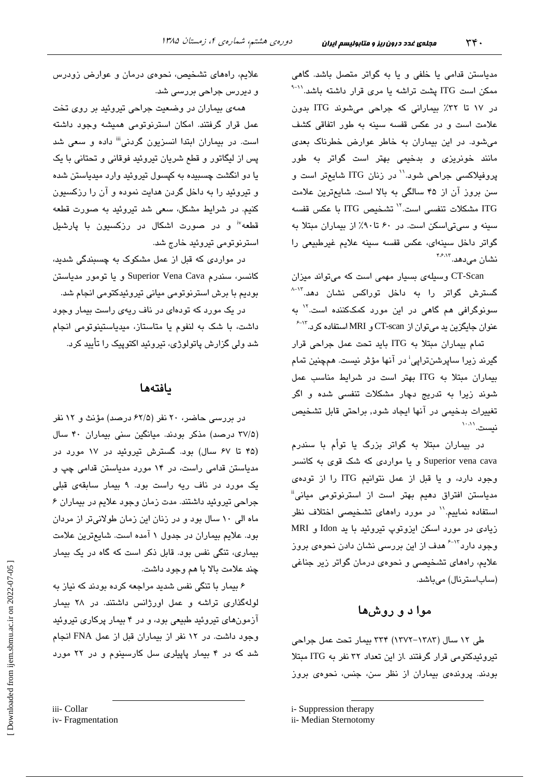مدیاستن قدامی یا خلفی و یا به گواتر متصل باشد. گاهی ممکن است ITG یشت تراشه یا مری قرار داشته باشد.<sup>۱۱-۹</sup> در ١٧ تا ٣٢٪ بيماراني كه جراحي مي شوند ITG بدون علامت است و در عکس قفسه سینه به طور اتفاقی کشف می شود. در این بیماران به خاطر عوارض خطرناک بعدی مانند خونریزی و بدخیمی بهتر است گواتر به طور پروفیلاکسی جراحی شود.<sup>\\</sup> در زنان ITG شایعتر است و سن بروز آن از ۴۵ سالگی به بالا است. شایعترین علامت ITG مشكلات تنفسى است.<sup>71</sup> تشخيص ITG با عكس قفسه سینه و سیتی اسکن است. در ۶۰ تا۹۰٪ از بیماران مبتلا به گواتر داخل سينهاى، عكس قفسه سينه علايم غيرطبيعى را نشان مے دھد. ۴۶۸۳

CT-Scan وسیلهی بسیار مهمی است که میتواند میزان گسترش گواتر را به داخل توراکس نشان دهد.<sup>۱۳ـ۸</sup> سونوگرافی هم گاهی در این مورد کمککننده است.<sup>۱۲</sup> به عنوان جایگزین ید میتوان از CT-scan و MRI استفاده کرد.<sup>۱۳-۶</sup>

تمام بيماران مبتلا به ITG بايد تحت عمل جراحي قرار گیرند زیرا ساپرشنڌراپی<sup>؛</sup> در آنها مؤثر نیست. همچنین تمام بیماران مبتلا به ITG بهتر است در شرایط مناسب عمل شوند زیرا به تدریج دچار مشکلات تنفسی شده و اگر تغییرات بدخیمی در آنها ایجاد شود, براحتی قابل تشخیص نست. اسا

در بیماران مبتلا به گواتر بزرگ یا توأم با سندرم Superior vena cava و یا مواردی که شک قوی به کانسر وجود دارد، و یا قبل از عمل نتوانیم ITG را از تودهی مدیاستن افتراق دهیم بهتر است از استرنوتوم*ی* میانی<sup>ة</sup> استفاده نماییم.'' در مورد راههای تشخیصی اختلاف نظر زیادی در مورد اسکن ایزوتوپ تیروئید با ید Idon و MRI وجود دارد<sup>۲۰۱۳</sup> هدف از این بررس*ی* نشان دادن نحوه*ی* بروز علایم، راههای تشخیصی و نحوهی درمان گواتر زیر جناغی (ساباسترنال) میباشد.

# موا د و روشها

طی ۱۲ سال (۱۳۸۳–۱۳۷۲) ۳۳۴ بیمار تحت عمل جراحی تیروئیدکتومی قرار گرفتند .از این تعداد ۳۲ نفر به ITG مبتلا بودند. پروندهی بیماران از نظر سن، جنس، نجوهی بروز

علایم، راههای تشخیص، نحوهی درمان و عوارض زودرس و ديررس جراحي بررسي شد.

همهی بیماران در وضعیت جراحی تیروئید بر روی تخت عمل قرار گرفتند. امکان استرنوتومی همیشه وجود داشته است. در بیماران ایتدا انسزیون گردنی<sup>iii</sup> داده و سعی شد پس از لیگاتور و قطع شریان تیروئید فوقانی و تحتانی با یک يا دو انگشت چسبيده به کپسول تيروئيد وارد ميدياستن شده و تیروئید را به داخل گردن هدایت نموده و آن را رزکسیون کنیم. در شرایط مشکل، سعی شد تیروئید به صورت قطعه قطعه" و در صورت اشکال در رزکسیون با پارشیل استرنوتومي تيروئيد خارج شد.

در مواردی که قبل از عمل مشکوک به چسبندگی شدید، كانسر، سندرم Superior Vena Cava و يا تومور مدياستن بودیم با برش استرنوتومی میانی تیروئیدکتومی انجام شد.

در یک مورد که تودهای در ناف ریهی راست بیمار وجود داشت، با شک به لنفوم یا متاستاز، میدیاستینوتومی انجام شد ولی گزارش پاتولوژی، تیروئید اکتوپیک را تأیید کرد.

## بافتهها

در بررسی حاضر، ۲۰ نفر (۶۲/۵ درصد) مؤنث و ۱۲ نفر (۳۷/۵ درصد) مذکر بودند. میانگین سنی بیماران ۴۰ سال (۴۵ تا ۶۷ سال) بود. گسترش تیروئید در ۱۷ مورد در مدیاستن قدامی راست، در ۱۴ مورد مدیاستن قدامی چپ و یک مورد در ناف ریه راست بود. ۹ بیمار سابقهی قبلی جراحی تیروئید داشتند. مدت زمان وجود علایم در بیماران ۶ ماه الی ۱۰ سال بود و در زنان این زمان طولانیتر از مردان بود. علایم بیماران در جدول ۱ آمده است. شایعترین علامت بیماری، تنگی نفس بود. قابل ذکر است که گاه در یک بیمار چند علامت بالا با هم وجود داشت.

۶ بیمار با تنگی نفس شدید مراجعه کرده بودند که نیاز به لولهگذاری تراشه و عمل اورژانس داشتند. در ۲۸ بیمار آزمونهای تیروئید طبیعی بود، و در ۴ بیمار پرکاری تیروئید وجود داشت. در ١٢ نفر از بيماران قبل از عمل FNA انجام شد که در ۴ بیمار پاپیلری سل کارسینوم و در ۲۲ مورد

iii- Collar

i- Suppression therapy

ii- Median Sternotomy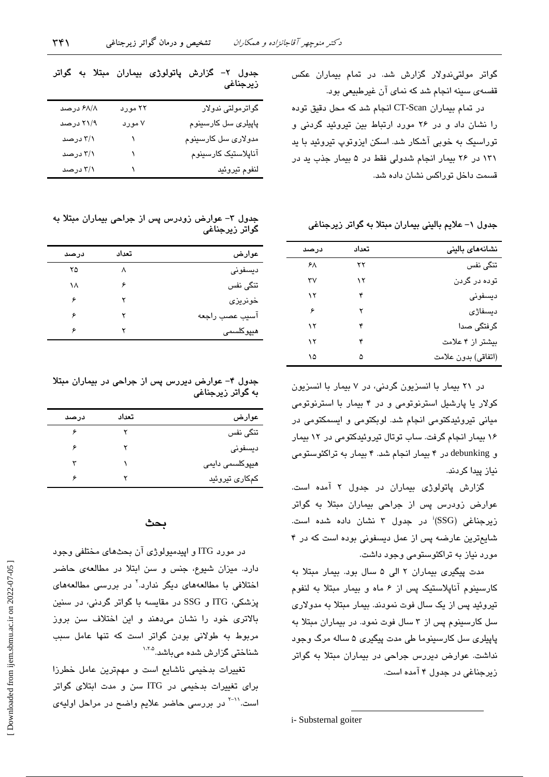در تمام بیماران CT-Scan انجام شد که محل دقیق توده را نشان داد و در ۲۶ مورد ارتباط بین تیروئید گردنی و توراسیک به خوبی آشکار شد. اسکن ایزوتوپ تیروئید یا بد ١٣١ در ٢۶ بيمار انجام شدولي فقط در ۵ بيمار جذب يد در قسمت داخل توراکس نشان داده شد.

قفسهی سینه انجام شد که نمای آن غیرطبیعی بود.

جدول ۱– علایم بالینی بیماران مبتلا به گواتر زیرجناغی

| نشانههای بالینی     | تعداد | درصد |
|---------------------|-------|------|
| تنگی نفس            | ۲۲    | ۶۸   |
| توده در گردن        | ۱۲    | ٣٧   |
| ديسفونى             | ۴     | ۱۲   |
| ديسفاژی             | ۲     | ۶    |
| گرفتگی صدا          | ۴     | ۱۲   |
| بیشتر از ۴ علامت    | ۴     | ۱۲   |
| (اتفاقي) بدون علامت | ۵     | ۱۵   |

در ۲۱ بیمار با انسزیون گردنی، در ۷ بیمار با انسزیون کولار یا پارشیل استرنوتومی و در ۴ بیمار با استرنوتومی میانی تیروئیدکتومی انجام شد. لوبکتومی و ایسمکتومی در ۱۶ بیمار انجام گرفت. ساب توتال تیروئیدکتومی در ۱۲ بیمار و debunking در ۴ بیمار انجام شد. ۴ بیمار به تراکئوستومی نياز پيدا كردند.

گزارش پاتولوژی بیماران در جدول ۲ آمده است. عوارض زودرس پس از جراحی بیماران مبتلا به گواتر زیرجناغی (SSG<sup>)</sup> در جدول ۳ نشان داده شده است. شایع ترین عارضه پس از عمل دیسفونی بوده است که در ۴ مورد نیاز به تراکئوستومی وجود داشت.

مدت پیگیری بیماران ۲ الی ۵ سال بود. بیمار مبتلا به کارسینوم آناپلاستیک پس از ۶ ماه و بیمار مبتلا به لنفوم تیروئید پس از یک سال فوت نمودند. بیمار مبتلا به مدولاری سل کارسینوم پس از ۳ سال فوت نمود. در بیماران مبتلا به پاپیلری سل کارسینوما طی مدت پیگیری ۵ ساله مرگ وجود نداشت. عوارض دیررس جراحی در بیماران مبتلا به گواتر زیرجناغی در جدول ۴ آمده است.

جدول ۲– گزارش پاتولوژی بیماران مبتلا به گواتر زيرجناغى

| گواترمولتی ندولار           | ۲۲ مورد | ۶۸/۸ درصد |
|-----------------------------|---------|-----------|
| پاپیلر <i>ی</i> سل کارسینوم | ۷ مورد  | ۲۱/۹ درصد |
| مدولاری سل کارسینوم         |         | ۳/۱ درصد  |
| آناپلاستیک کارسینوم         |         | ۳/۱ درصد  |
| لنفوم تيروئيد               |         | ۳/۱ درصد  |

جدول ٣- عوارض زودرس پس از جراحی بیماران مبتلا به گواتر زيرجناغي

| عوارض           | تعداد | درصد |
|-----------------|-------|------|
| ديسفونى         | л     | ۲۵   |
| تنگی نفس        | ۶     | ۱۸   |
| خونريز <i>ى</i> | ۲     | ۶    |
| آسيب عصب راجعه  | ۲     | ۶    |
| میپرکلسمی       |       | ۶    |
|                 |       |      |

جدول ۴- عوارض دیررس پس از جراحی در بیماران مبتلا به گواتر زیرجناغی

| عوارض           | تعداد | درصد |
|-----------------|-------|------|
| تنگی نفس        |       | ۶    |
| ديسفونى         |       | ۶    |
| ھیپرکلسمی دایمی |       |      |
| کمکاری تیروئید  |       | ç    |
|                 |       |      |

### بحث

در مورد ITG و اپیدمبولوژی آن بحثهای مختلفی وجود دارد. میزان شیوع، جنس و سن ابتلا در مطالعهی حاضر اختلافی با مطالعههای دیگر ندارد.<sup>۲</sup> در بررسی مطالعههای یزشکی، ITG و SSG در مقایسه با گواتر گردنی، در سنین بالاتری خود را نشان میدهند و این اختلاف سن بروز مربوط به طولانی بودن گواتر است که تنها عامل سبب شناختی گزارش شده میباشد.<sup>۱٬۸۵</sup>

تغییرات بدخیمی ناشایع است و مهمترین عامل خطرزا برای تغییرات بدخیمی در ITG سن و مدت ابتلای گواتر است.<sup>۱۱-۲</sup> در بررسی حاضر علایم واضح در مراحل اولیهی

i- Substernal goiter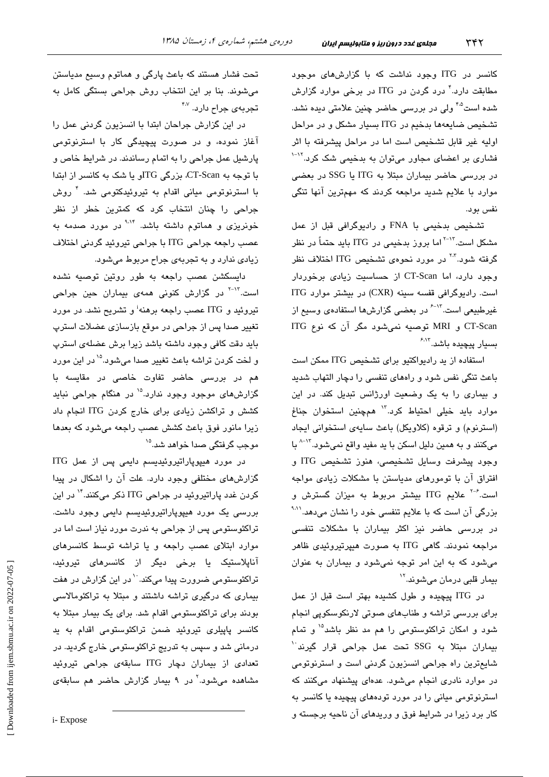٣۴٢

کانسر در ITG وجود نداشت که با گزارشهای موجود مطابقت دارد.<sup>۲</sup> درد گردن در ITG در برخی موارد گزارش شده است<sup>۴۵</sup> ولی در بررسی حاضر چنین علامتی دیده نشد. تشخيص ضايعهها بدخيم در ITG بسيار مشكل و در مراحل اولیه غیر قابل تشخیص است اما در مراحل پیشرفته با اثر فشاری بر اعضای مجاور میتوان به بدخیمی شک کرد.<sup>۱۲-۱</sup> در بررسی حاضر بیماران مبتلا به ITG یا SSG در بعضی موارد با علایم شدید مراجعه کردند که مهمترین آنها تنگی نفس يو.د.

تشخیص بدخیمی با FNA و رادیوگرافی قبل از عمل مشکل است.<sup>۲-۱۳</sup> اما بروز بدخیمی در ITG باید حتماً در نظر گرفته شود.<sup>۲۰۲</sup> در مورد نحوهی تشخیص ITG اختلاف نظر وجود دارد، اما CT-Scan از حساسیت زیادی برخوردار است. رادیوگرافی قفسه سینه (CXR) در بیشتر موارد ITG غیرطبیعی است.<sup>۱۳-۶</sup> در بعضی گزارشها استفادهی وسیع از CT-Scan و MRI توصیه نمیشود مگر آن که نوع ITG سىبار يىچىدە باشد. <sup>۶،۱۳</sup>

استفاده از ید رادیواکتیو برای تشخیص ITG ممکن است باعث تنگی نفس شود و راههای تنفسی را دچار التهاب شدید و بیماری را به یک وضعیت اورژانس تبدیل کند. در این موارد بايد خيلى احتياط كرد.<sup>١٢</sup> همچنين استخوان جناغ (استرنوم) و ترقوه (كلاويكل) باعث سايهى استخوانى ايجاد میکنند و به همین دلیل اسکن با ید مفید واقع نمیشود.<sup>۱۳–۸</sup> با وجود پیشرفت وسایل تشخیصی، هنوز تشخیص ITG و افتراق آن با تومورهای مدیاستن با مشکلات زیادی مواجه است.<sup>۶-۶</sup> علایم ITG بیشتر مربوط به میزان گسترش و بزرگی آن است که با علایم تنفسی خود را نشان میدهد.<sup>۹٬۱۱</sup> در بررسی حاضر نیز اکثر بیماران با مشکلات تنفسی مراجعه نمودند. گاهی ITG به صورت هیپرتیروئیدی ظاهر میشود که به این امر توجه نمیشود و بیماران به عنوان بیمار قلبی درمان میشوند.<sup>۱۲</sup>

در ITG پیچیده و طول کشیده بهتر است قبل از عمل برای بررسی تراشه و طنابهای صوتی لارنکوسکویی انجام شود و امکان تراکئوستومی را هم مد نظر باشد<sup>۱۵</sup> و تمام بيماران مبتلا به SSG تحت عمل جراحى قرار گيرند<sup>.\</sup> شايعترين راه جراحى انسزيون گردنى است و استرنوتومى در موارد نادری انجام میشود. عدهای پیشنهاد میکنند که استرنوتومی میانی را در مورد تودههای پیچیده یا کانسر به کار برد زیرا در شرایط فوق و وریدهای آن ناحیه برجسته و

تحت فشار هستند که باعث پارگی و هماتوم وسیع مدیاستن میشوند. بنا بر این انتخاب روش جراحی بستگی کامل به تجربه*ی* جراح دارد. <sup>۴،۷</sup>

در این گزارش جراحان ابتدا با انسزیون گردنی عمل را آغاز نموده، و در صورت پیچیدگی کار با استرنوتومی پارشیل عمل جراحی را به اتمام رساندند. در شرایط خاص و با توجه به CT-Scan، بزرگی ITGو یا شک به کانسر از ابتدا با استرنوتومی میانی اقدام به تیروئیدکتومی شد. <sup>۴</sup> روش جراحی را چنان انتخاب کرد که کمترین خطر از نظر خونریز*ی* و هماتوم داشته باشد. <sup>۹،۱۴</sup> در مورد صدمه به عصب راجعه جراحي ITG با جراحي تيروئيد گردني اختلاف زیادی ندارد و به تجربهی جراح مربوط میشود.

دایسکشن عصب راجعه به طور روتین توصیه نشده است.<sup>۱۲-۲</sup> در گزارش کنونی همهی بیماران حین جراحی تیروئید و ITG عصب راجعه برهنه<sup>ن</sup>و تشریح نشد. در مورد تغییر صدا پس از جراحی در موقع بازسازی عضلات استرپ بايد دقت كافى وجود داشته باشد زيرا برش عضلهى استرپ و لخت کردن تراشه باعث تغییر صدا میشود.<sup>۱۵</sup> در این مورد هم در بررسی حاضر تفاوت خاصی در مقایسه با گزارشهای موجود وجود ندارد.<sup>۱۵</sup> در هنگام جراحی نباید کشش و تراکشن زیادی برای خارج کردن ITG انجام داد زیرا مانور فوق باعث کشش عصب راجعه میشود که بعدها موجب گرفتگی صدا خوا*هد* شد.<sup>۱۵</sup>

در مورد هیپوپاراتیروئیدیسم دایمی پس از عمل ITG گزارشهای مختلفی وجود دارد. علت آن را اشکال در پیدا کردن غدد پاراتیروئید در جراحی ITG ذکر میکنند.<sup>۱۴</sup> در این بررسی یک مورد هیپوپاراتیروئیدیسم دایمی وجود داشت. تراکئوستومی پس از جراحی به ندرت مورد نیاز است اما در موارد ابتلای عصب راجعه و یا تراشه توسط کانسرهای آناپلاستیک یا برخی دیگر از کانسرهای تیروئید، تراکئوستومی ضرورت پیدا میکند. `` در این گزارش در هفت بیماری که درگیری تراشه داشتند و مبتلا به تراکئومالاسی بودند برای تراکئوستومی اقدام شد. برای یک بیمار مبتلا به کانسر پاپیلری تیروئید ضمن تراکئوستومی اقدام به ید درمانی شد و سپس به تدریج تراکئوستومی خارج گردید. در تعدادی از بیماران دچار ITG سابقهی جراحی تیروئید مشاهده میشود<sup>.۲</sup> در ۹ بیمار گزارش حاضر هم سابقه*ی*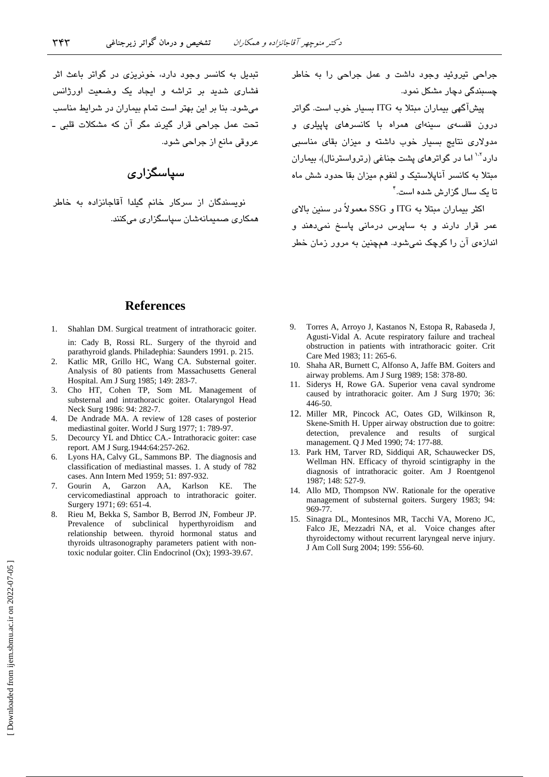.<br>تبدیل به کانسر وجود دارد، خونریزی در گواتر باعث اثر .<br>فشاری شدید بر تراشه و ایجاد یک وضعیت اورژانس مرشود. بنا بر این بهتر است تمام بیماران در شرایط مناسب تحت عمل جراحے قرار گیرند مگر آن که مشکلات قلبی ـ عروقي مانع ان حراجي شود.

## س**پاسگزار***ی*

.<br>نویسندگان از سرکار خانم گیلدا آقاجانزاده به خاطر همکاری صمیمانهشان سیاسگزاری میکنند. حراجی تبروئید وجود داشت و عمل حراجی را به خاطر جسیندگی دچار مشکل نمو د.

.<br>پیشآگهی بیماران مبتلا به ITG بسیار خوب است. گواتر درون قفسه*ی سیدهای ه*مراه با کانسرها*ی ب*ایی*لری* و مده لاری نتایج بسیار خوب داشته و میزان بقای مناسبی دار د<sup>۱۰۲</sup> اما در گواترهای بشت جناغی (رترواسترنال)، بیماران مبتلا به کانسر آنابلاستیک و لنفوج میزان بقا جدود شش ماه تا یک سال گزار ش شده است.<sup>۴</sup>

اکثر بیماران مبتلا به ITG و SSG معمولاً در سنین بالای ء<br>عمر قرار دارند و به سایرس درمانی باسخ نم*ی*دهند و انداز دی آن را کوچک نمے شود. همچنین به مرور زمان خطر

#### **References**

- 1. Shahlan DM*.* Surgical treatment of intrathoracic goiter. in: Cady B, Rossi RL. Surgery of the thyroid and parathyroid glands. Philadephia: Saunders 1991. p. 215.
- 2. Katlic MR, Grillo HC, Wang CA. Substernal goiter. Analysis of 80 patients from Massachusetts General Hospital. Am J Surg 1985; 149: 283-7.
- 3. Cho HT, Cohen TP, Som ML Management of substernal and intrathoracic goiter. Otalaryngol Head Neck Surg 1986: 94: 282-7.
- 4. De Andrade MA. A review of 128 cases of posterior mediastinal goiter. World J Surg 1977; 1: 789-97.
- 5. Decourcy YL and Dhticc CA.- Intrathoracic goiter: case report. AM J Surg.1944:64:257-262.
- 6. Lyons HA, Calvy GL, Sammons BP. The diagnosis and classification of mediastinal masses. 1. A study of 782 cases. Ann Intern Med 1959; 51: 897-932.
- 7. Gourin A, Garzon AA, Karlson KE. The cervicomediastinal approach to intrathoracic goiter. Surgery 1971; 69: 651-4.
- 8. Rieu M, Bekka S, Sambor B, Berrod JN, Fombeur JP. Prevalence of subclinical hyperthyroidism and relationship between. thyroid hormonal status and thyroids ultrasonography parameters patient with nontoxic nodular goiter. Clin Endocrinol (Ox); 1993-39.67.
- 9. Torres A, Arroyo J, Kastanos N, Estopa R, Rabaseda J, Agusti-Vidal A. Acute respiratory failure and tracheal obstruction in patients with intrathoracic goiter. Crit Care Med 1983; 11: 265-6.
- 10. Shaha AR, Burnett C, Alfonso A, Jaffe BM. Goiters and airway problems. Am J Surg 1989; 158: 378-80.
- 11. Siderys H, Rowe GA. Superior vena caval syndrome caused by intrathoracic goiter. Am J Surg 1970; 36: 446-50.
- 12. Miller MR, Pincock AC, Oates GD, Wilkinson R, Skene-Smith H. Upper airway obstruction due to goitre: detection, prevalence and results of surgical management. Q J Med 1990; 74: 177-88.
- 13. Park HM, Tarver RD, Siddiqui AR, Schauwecker DS, Wellman HN. Efficacy of thyroid scintigraphy in the diagnosis of intrathoracic goiter. Am J Roentgenol 1987; 148: 527-9.
- 14. Allo MD, Thompson NW. Rationale for the operative management of substernal goiters. Surgery 1983; 94: 969-77.
- 15. Sinagra DL, Montesinos MR, Tacchi VA, Moreno JC, Falco JE, Mezzadri NA, et al. Voice changes after thyroidectomy without recurrent laryngeal nerve injury. J Am Coll Surg 2004; 199: 556-60.